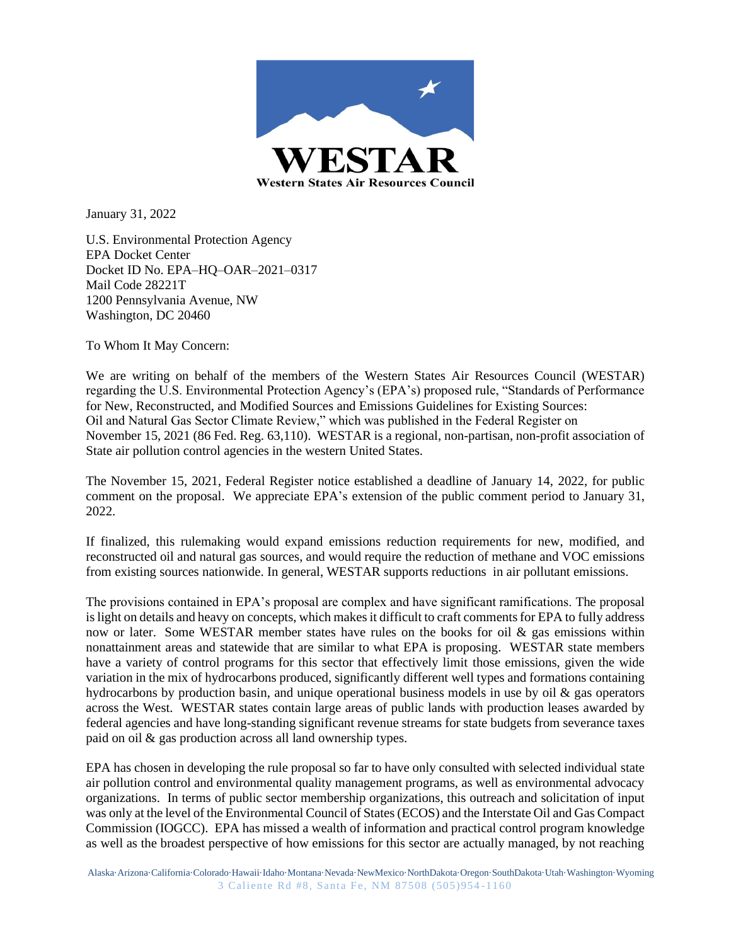

January 31, 2022

U.S. Environmental Protection Agency EPA Docket Center Docket ID No. EPA–HQ–OAR–2021–0317 Mail Code 28221T 1200 Pennsylvania Avenue, NW Washington, DC 20460

To Whom It May Concern:

We are writing on behalf of the members of the Western States Air Resources Council (WESTAR) regarding the U.S. Environmental Protection Agency's (EPA's) proposed rule, "Standards of Performance for New, Reconstructed, and Modified Sources and Emissions Guidelines for Existing Sources: Oil and Natural Gas Sector Climate Review," which was published in the Federal Register on November 15, 2021 (86 Fed. Reg. 63,110). WESTAR is a regional, non-partisan, non-profit association of State air pollution control agencies in the western United States.

The November 15, 2021, Federal Register notice established a deadline of January 14, 2022, for public comment on the proposal. We appreciate EPA's extension of the public comment period to January 31, 2022.

If finalized, this rulemaking would expand emissions reduction requirements for new, modified, and reconstructed oil and natural gas sources, and would require the reduction of methane and VOC emissions from existing sources nationwide. In general, WESTAR supports reductions in air pollutant emissions.

The provisions contained in EPA's proposal are complex and have significant ramifications. The proposal is light on details and heavy on concepts, which makes it difficult to craft comments for EPA to fully address now or later. Some WESTAR member states have rules on the books for oil  $\&$  gas emissions within nonattainment areas and statewide that are similar to what EPA is proposing. WESTAR state members have a variety of control programs for this sector that effectively limit those emissions, given the wide variation in the mix of hydrocarbons produced, significantly different well types and formations containing hydrocarbons by production basin, and unique operational business models in use by oil & gas operators across the West. WESTAR states contain large areas of public lands with production leases awarded by federal agencies and have long-standing significant revenue streams for state budgets from severance taxes paid on oil & gas production across all land ownership types.

EPA has chosen in developing the rule proposal so far to have only consulted with selected individual state air pollution control and environmental quality management programs, as well as environmental advocacy organizations. In terms of public sector membership organizations, this outreach and solicitation of input was only at the level of the Environmental Council of States (ECOS) and the Interstate Oil and Gas Compact Commission (IOGCC). EPA has missed a wealth of information and practical control program knowledge as well as the broadest perspective of how emissions for this sector are actually managed, by not reaching